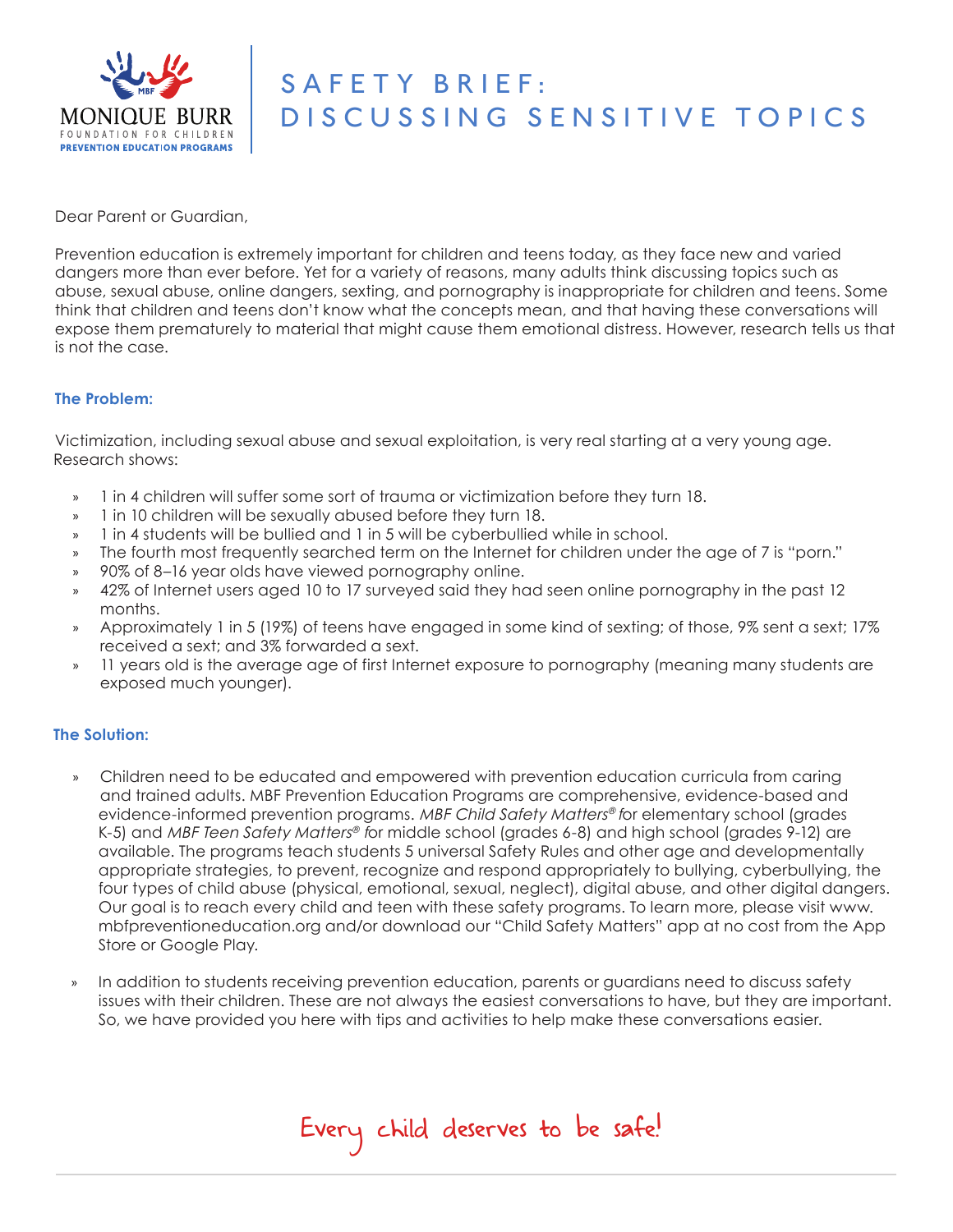

# SAFETY BRIEF: DISCUSSING SENSITIVE TOPICS

Dear Parent or Guardian,

Prevention education is extremely important for children and teens today, as they face new and varied dangers more than ever before. Yet for a variety of reasons, many adults think discussing topics such as abuse, sexual abuse, online dangers, sexting, and pornography is inappropriate for children and teens. Some think that children and teens don't know what the concepts mean, and that having these conversations will expose them prematurely to material that might cause them emotional distress. However, research tells us that is not the case.

## **The Problem:**

Victimization, including sexual abuse and sexual exploitation, is very real starting at a very young age. Research shows:

- » 1 in 4 children will suffer some sort of trauma or victimization before they turn 18.
- » 1 in 10 children will be sexually abused before they turn 18.
- » 1 in 4 students will be bullied and 1 in 5 will be cyberbullied while in school.
- » The fourth most frequently searched term on the Internet for children under the age of 7 is "porn."
- » 90% of 8–16 year olds have viewed pornography online.
- » 42% of Internet users aged 10 to 17 surveyed said they had seen online pornography in the past 12 months.
- Approximately 1 in 5 (19%) of teens have engaged in some kind of sexting; of those, 9% sent a sext; 17% received a sext; and 3% forwarded a sext.
- » 11 years old is the average age of first Internet exposure to pornography (meaning many students are exposed much younger).

## **The Solution:**

- » Children need to be educated and empowered with prevention education curricula from caring and trained adults. MBF Prevention Education Programs are comprehensive, evidence-based and evidence-informed prevention programs. MBF Child Safety Matters® for elementary school (grades K-5) and MBF Teen Safety Matters<sup>®</sup> for middle school (grades 6-8) and high school (grades 9-12) are available. The programs teach students 5 universal Safety Rules and other age and developmentally appropriate strategies, to prevent, recognize and respond appropriately to bullying, cyberbullying, the four types of child abuse (physical, emotional, sexual, neglect), digital abuse, and other digital dangers. Our goal is to reach every child and teen with these safety programs. To learn more, please visit www. mbfpreventioneducation.org and/or download our "Child Safety Matters" app at no cost from the App Store or Google Play.
- » In addition to students receiving prevention education, parents or guardians need to discuss safety issues with their children. These are not always the easiest conversations to have, but they are important. So, we have provided you here with tips and activities to help make these conversations easier.